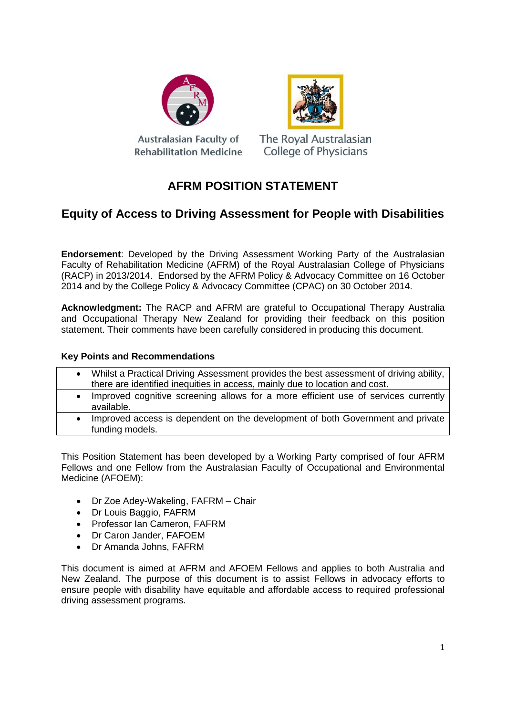



Australasian Faculty of **Rehabilitation Medicine**  The Royal Australasian **College of Physicians** 

### **AFRM POSITION STATEMENT**

### **Equity of Access to Driving Assessment for People with Disabilities**

**Endorsement**: Developed by the Driving Assessment Working Party of the Australasian Faculty of Rehabilitation Medicine (AFRM) of the Royal Australasian College of Physicians (RACP) in 2013/2014. Endorsed by the AFRM Policy & Advocacy Committee on 16 October 2014 and by the College Policy & Advocacy Committee (CPAC) on 30 October 2014.

**Acknowledgment:** The RACP and AFRM are grateful to Occupational Therapy Australia and Occupational Therapy New Zealand for providing their feedback on this position statement. Their comments have been carefully considered in producing this document.

### **Key Points and Recommendations**

- Whilst a Practical Driving Assessment provides the best assessment of driving ability, there are identified inequities in access, mainly due to location and cost.
- Improved cognitive screening allows for a more efficient use of services currently available.
- Improved access is dependent on the development of both Government and private funding models.

This Position Statement has been developed by a Working Party comprised of four AFRM Fellows and one Fellow from the Australasian Faculty of Occupational and Environmental Medicine (AFOEM):

- Dr Zoe Adey-Wakeling, FAFRM Chair
- Dr Louis Baggio, FAFRM
- Professor Ian Cameron, FAFRM
- Dr Caron Jander, FAFOEM
- Dr Amanda Johns, FAFRM

This document is aimed at AFRM and AFOEM Fellows and applies to both Australia and New Zealand. The purpose of this document is to assist Fellows in advocacy efforts to ensure people with disability have equitable and affordable access to required professional driving assessment programs.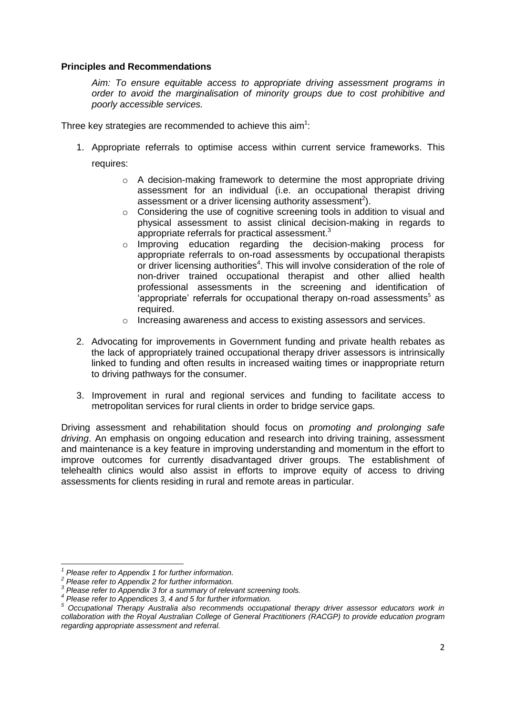#### **Principles and Recommendations**

*Aim: To ensure equitable access to appropriate driving assessment programs in order to avoid the marginalisation of minority groups due to cost prohibitive and poorly accessible services.* 

Three key strategies are recommended to achieve this aim<sup>1</sup>:

1. Appropriate referrals to optimise access within current service frameworks. This

requires:

- o A decision-making framework to determine the most appropriate driving assessment for an individual (i.e. an occupational therapist driving assessment or a driver licensing authority assessment<sup>2</sup>).
- $\circ$  Considering the use of cognitive screening tools in addition to visual and physical assessment to assist clinical decision-making in regards to appropriate referrals for practical assessment. $3$
- o Improving education regarding the decision-making process for appropriate referrals to on-road assessments by occupational therapists or driver licensing authorities<sup>4</sup>. This will involve consideration of the role of non-driver trained occupational therapist and other allied health professional assessments in the screening and identification of 'appropriate' referrals for occupational therapy on-road assessments<sup>5</sup> as required.
- o Increasing awareness and access to existing assessors and services.
- 2. Advocating for improvements in Government funding and private health rebates as the lack of appropriately trained occupational therapy driver assessors is intrinsically linked to funding and often results in increased waiting times or inappropriate return to driving pathways for the consumer.
- 3. Improvement in rural and regional services and funding to facilitate access to metropolitan services for rural clients in order to bridge service gaps.

Driving assessment and rehabilitation should focus on *promoting and prolonging safe driving*. An emphasis on ongoing education and research into driving training, assessment and maintenance is a key feature in improving understanding and momentum in the effort to improve outcomes for currently disadvantaged driver groups. The establishment of telehealth clinics would also assist in efforts to improve equity of access to driving assessments for clients residing in rural and remote areas in particular.

**<sup>.</sup>** *1 Please refer to Appendix 1 for further information.*

*<sup>2</sup> Please refer to Appendix 2 for further information.*

*<sup>3</sup> Please refer to Appendix 3 for a summary of relevant screening tools.*

*<sup>4</sup> Please refer to Appendices 3, 4 and 5 for further information.*

*<sup>5</sup> Occupational Therapy Australia also recommends occupational therapy driver assessor educators work in collaboration with the Royal Australian College of General Practitioners (RACGP) to provide education program regarding appropriate assessment and referral.*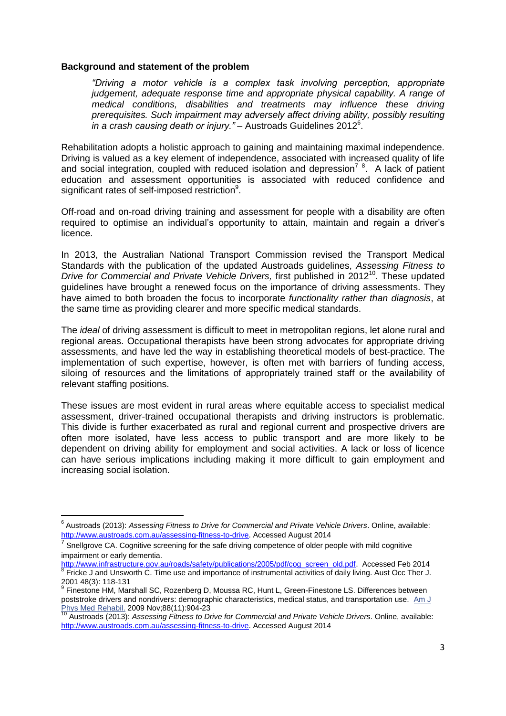#### **Background and statement of the problem**

*"Driving a motor vehicle is a complex task involving perception, appropriate judgement, adequate response time and appropriate physical capability. A range of medical conditions, disabilities and treatments may influence these driving prerequisites. Such impairment may adversely affect driving ability, possibly resulting in a crash causing death or injury."* – Austroads Guidelines 2012<sup>6</sup> .

Rehabilitation adopts a holistic approach to gaining and maintaining maximal independence. Driving is valued as a key element of independence, associated with increased quality of life and social integration, coupled with reduced isolation and depression<sup>78</sup>. A lack of patient education and assessment opportunities is associated with reduced confidence and significant rates of self-imposed restriction<sup>9</sup>.

Off-road and on-road driving training and assessment for people with a disability are often required to optimise an individual's opportunity to attain, maintain and regain a driver's licence.

In 2013, the Australian National Transport Commission revised the Transport Medical Standards with the publication of the updated Austroads guidelines, *Assessing Fitness to Drive for Commercial and Private Vehicle Drivers,* first published in 2012 <sup>10</sup>. These updated guidelines have brought a renewed focus on the importance of driving assessments. They have aimed to both broaden the focus to incorporate *functionality rather than diagnosis*, at the same time as providing clearer and more specific medical standards.

The *ideal* of driving assessment is difficult to meet in metropolitan regions, let alone rural and regional areas. Occupational therapists have been strong advocates for appropriate driving assessments, and have led the way in establishing theoretical models of best-practice. The implementation of such expertise, however, is often met with barriers of funding access, siloing of resources and the limitations of appropriately trained staff or the availability of relevant staffing positions.

These issues are most evident in rural areas where equitable access to specialist medical assessment, driver-trained occupational therapists and driving instructors is problematic. This divide is further exacerbated as rural and regional current and prospective drivers are often more isolated, have less access to public transport and are more likely to be dependent on driving ability for employment and social activities. A lack or loss of licence can have serious implications including making it more difficult to gain employment and increasing social isolation.

**.** 

<sup>6</sup> Austroads (2013): *Assessing Fitness to Drive for Commercial and Private Vehicle Drivers*. Online, available: [http://www.austroads.com.au/assessing-fitness-to-drive.](http://www.austroads.com.au/assessing-fitness-to-drive) Accessed August 2014

<sup>7</sup> Snellgrove CA. Cognitive screening for the safe driving competence of older people with mild cognitive impairment or early dementia.

[http://www.infrastructure.gov.au/roads/safety/publications/2005/pdf/cog\\_screen\\_old.pdf.](http://www.infrastructure.gov.au/roads/safety/publications/2005/pdf/cog_screen_old.pdf) Accessed Feb 2014 <sup>8</sup> Fricke J and Unsworth C. Time use and importance of instrumental activities of daily living. Aust Occ Ther J.

<sup>2001 48(3): 118-131&</sup>lt;br><sup>9</sup> Finestone HM, Marshall SC, Rozenberg D, Moussa RC, Hunt L, Green-Finestone LS. Differences between poststroke drivers and nondrivers: demographic characteristics, medical status, and transportation use. [Am J](http://www.ncbi.nlm.nih.gov/pubmed/19487920)  [Phys Med Rehabil.](http://www.ncbi.nlm.nih.gov/pubmed/19487920) 2009 Nov;88(11):904-23

<sup>10</sup> Austroads (2013): *Assessing Fitness to Drive for Commercial and Private Vehicle Drivers*. Online, available: [http://www.austroads.com.au/assessing-fitness-to-drive.](http://www.austroads.com.au/assessing-fitness-to-drive) Accessed August 2014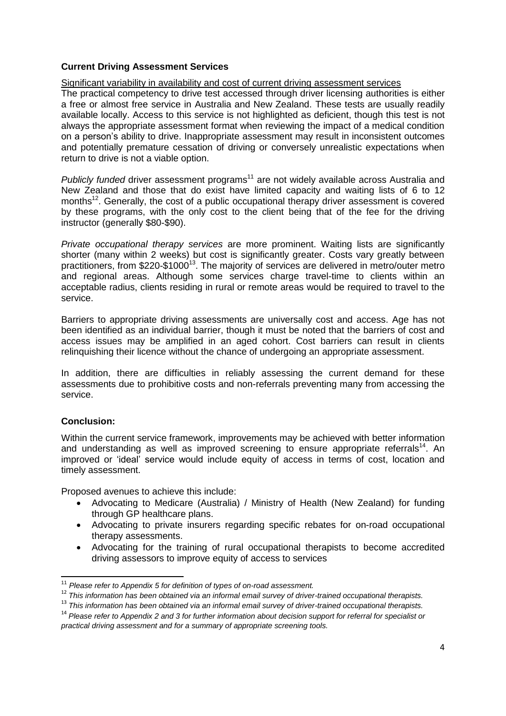### **Current Driving Assessment Services**

#### Significant variability in availability and cost of current driving assessment services

The practical competency to drive test accessed through driver licensing authorities is either a free or almost free service in Australia and New Zealand. These tests are usually readily available locally. Access to this service is not highlighted as deficient, though this test is not always the appropriate assessment format when reviewing the impact of a medical condition on a person's ability to drive. Inappropriate assessment may result in inconsistent outcomes and potentially premature cessation of driving or conversely unrealistic expectations when return to drive is not a viable option.

*Publicly funded* driver assessment programs<sup>11</sup> are not widely available across Australia and New Zealand and those that do exist have limited capacity and waiting lists of 6 to 12 months<sup>12</sup>. Generally, the cost of a public occupational therapy driver assessment is covered by these programs, with the only cost to the client being that of the fee for the driving instructor (generally \$80-\$90).

*Private occupational therapy services* are more prominent. Waiting lists are significantly shorter (many within 2 weeks) but cost is significantly greater. Costs vary greatly between practitioners, from \$220-\$1000<sup>13</sup>. The majority of services are delivered in metro/outer metro and regional areas. Although some services charge travel-time to clients within an acceptable radius, clients residing in rural or remote areas would be required to travel to the service.

Barriers to appropriate driving assessments are universally cost and access. Age has not been identified as an individual barrier, though it must be noted that the barriers of cost and access issues may be amplified in an aged cohort. Cost barriers can result in clients relinquishing their licence without the chance of undergoing an appropriate assessment.

In addition, there are difficulties in reliably assessing the current demand for these assessments due to prohibitive costs and non-referrals preventing many from accessing the service.

#### **Conclusion:**

Within the current service framework, improvements may be achieved with better information and understanding as well as improved screening to ensure appropriate referrals<sup>14</sup>. An improved or 'ideal' service would include equity of access in terms of cost, location and timely assessment.

Proposed avenues to achieve this include:

- Advocating to Medicare (Australia) / Ministry of Health (New Zealand) for funding through GP healthcare plans.
- Advocating to private insurers regarding specific rebates for on-road occupational therapy assessments.
- Advocating for the training of rural occupational therapists to become accredited driving assessors to improve equity of access to services

 $\overline{\phantom{a}}$ <sup>11</sup> *Please refer to Appendix 5 for definition of types of on-road assessment.*

<sup>12</sup> *This information has been obtained via an informal email survey of driver-trained occupational therapists.*

<sup>13</sup> *This information has been obtained via an informal email survey of driver-trained occupational therapists.*

<sup>14</sup> *Please refer to Appendix 2 and 3 for further information about decision support for referral for specialist or practical driving assessment and for a summary of appropriate screening tools.*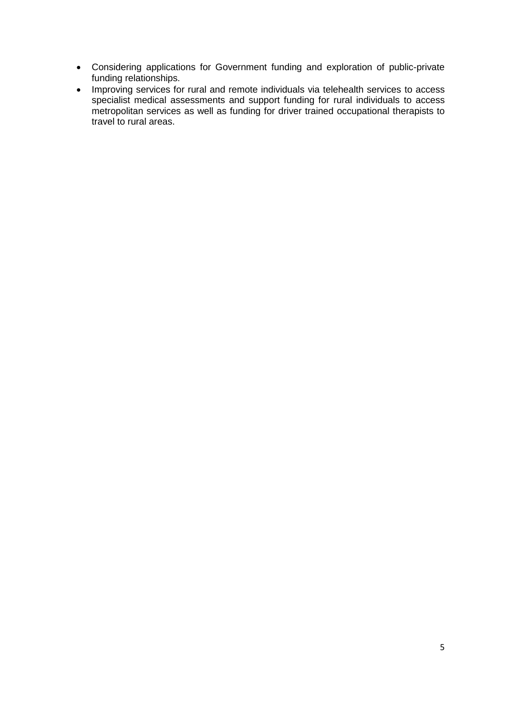- Considering applications for Government funding and exploration of public-private funding relationships.
- Improving services for rural and remote individuals via telehealth services to access specialist medical assessments and support funding for rural individuals to access metropolitan services as well as funding for driver trained occupational therapists to travel to rural areas.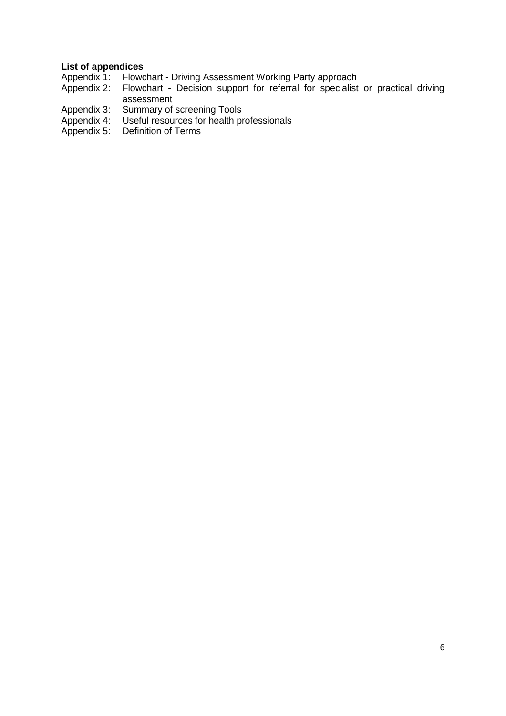# **List of appendices**<br>Appendix 1: Flowc

- Appendix 1: Flowchart Driving Assessment Working Party approach<br>Appendix 2: Flowchart Decision support for referral for specialist
- Flowchart Decision support for referral for specialist or practical driving assessment
- Appendix 3: Summary of screening Tools<br>Appendix 4: Useful resources for health pr
- Appendix 4: Useful resources for health professionals<br>Appendix 5: Definition of Terms
- Definition of Terms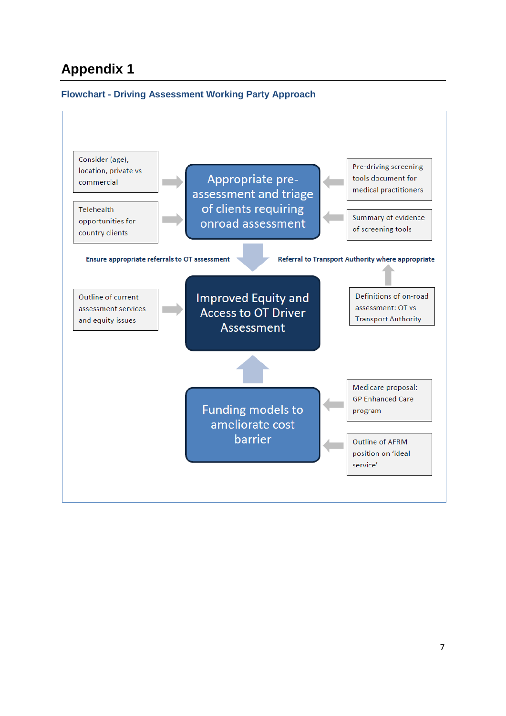### **Appendix 1**

### **Flowchart - Driving Assessment Working Party Approach**

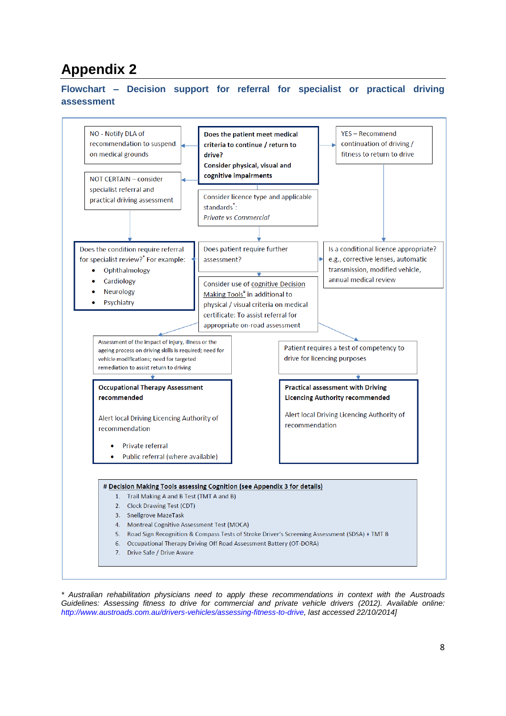## **Appendix 2**

#### **Flowchart – Decision support for referral for specialist or practical driving assessment**



*\* Australian rehabilitation physicians need to apply these recommendations in context with the Austroads Guidelines: Assessing fitness to drive for commercial and private vehicle drivers (2012). Available online: [http://www.austroads.com.au/drivers-vehicles/assessing-fitness-to-drive,](http://www.austroads.com.au/drivers-vehicles/assessing-fitness-to-drive) last accessed 22/10/2014]*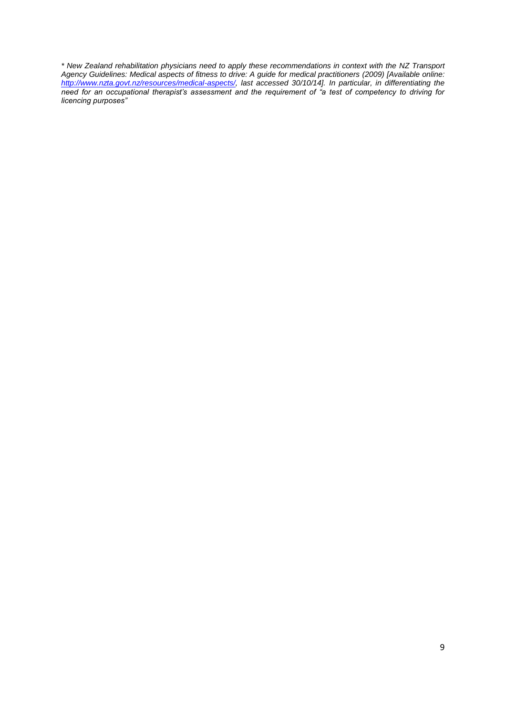*\* New Zealand rehabilitation physicians need to apply these recommendations in context with the NZ Transport Agency Guidelines: Medical aspects of fitness to drive: A guide for medical practitioners (2009) [Available online: [http://www.nzta.govt.nz/resources/medical-aspects/,](http://www.nzta.govt.nz/resources/medical-aspects/) last accessed 30/10/14]. In particular, in differentiating the need for an occupational therapist's assessment and the requirement of "a test of competency to driving for licencing purposes"*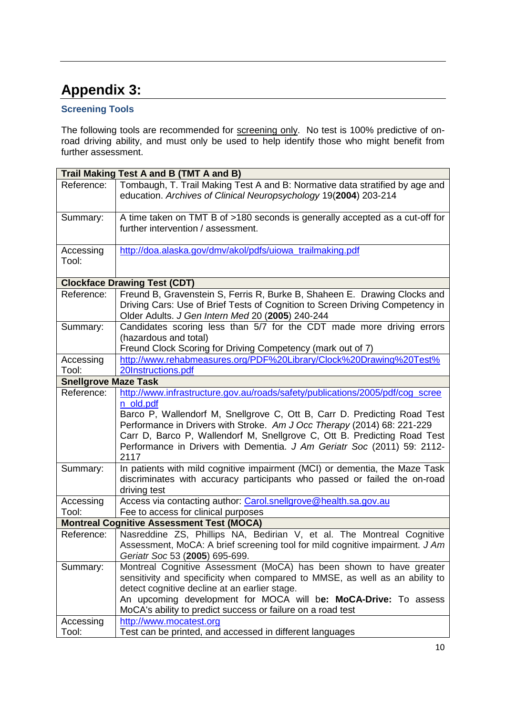# **Appendix 3:**

### **Screening Tools**

The following tools are recommended for screening only. No test is 100% predictive of onroad driving ability, and must only be used to help identify those who might benefit from further assessment.

| Trail Making Test A and B (TMT A and B)          |                                                                                                                                                                                                                                                                                                                                       |
|--------------------------------------------------|---------------------------------------------------------------------------------------------------------------------------------------------------------------------------------------------------------------------------------------------------------------------------------------------------------------------------------------|
| Reference:                                       | Tombaugh, T. Trail Making Test A and B: Normative data stratified by age and<br>education. Archives of Clinical Neuropsychology 19(2004) 203-214                                                                                                                                                                                      |
| Summary:                                         | A time taken on TMT B of >180 seconds is generally accepted as a cut-off for<br>further intervention / assessment.                                                                                                                                                                                                                    |
| Accessing<br>Tool:                               | http://doa.alaska.gov/dmv/akol/pdfs/uiowa_trailmaking.pdf                                                                                                                                                                                                                                                                             |
| <b>Clockface Drawing Test (CDT)</b>              |                                                                                                                                                                                                                                                                                                                                       |
| Reference:                                       | Freund B, Gravenstein S, Ferris R, Burke B, Shaheen E. Drawing Clocks and<br>Driving Cars: Use of Brief Tests of Cognition to Screen Driving Competency in<br>Older Adults. J Gen Intern Med 20 (2005) 240-244                                                                                                                        |
| Summary:                                         | Candidates scoring less than 5/7 for the CDT made more driving errors<br>(hazardous and total)<br>Freund Clock Scoring for Driving Competency (mark out of 7)                                                                                                                                                                         |
| Accessing<br>Tool:                               | http://www.rehabmeasures.org/PDF%20Library/Clock%20Drawing%20Test%<br>20Instructions.pdf                                                                                                                                                                                                                                              |
| <b>Snellgrove Maze Task</b>                      |                                                                                                                                                                                                                                                                                                                                       |
| Reference:                                       | http://www.infrastructure.gov.au/roads/safety/publications/2005/pdf/cog_scree                                                                                                                                                                                                                                                         |
|                                                  | n_old.pdf<br>Barco P, Wallendorf M, Snellgrove C, Ott B, Carr D. Predicting Road Test<br>Performance in Drivers with Stroke. Am J Occ Therapy (2014) 68: 221-229<br>Carr D, Barco P, Wallendorf M, Snellgrove C, Ott B. Predicting Road Test<br>Performance in Drivers with Dementia. J Am Geriatr Soc (2011) 59: 2112-<br>2117       |
| Summary:                                         | In patients with mild cognitive impairment (MCI) or dementia, the Maze Task<br>discriminates with accuracy participants who passed or failed the on-road<br>driving test                                                                                                                                                              |
| Accessing<br>Tool:                               | Access via contacting author: Carol.snellgrove@health.sa.gov.au<br>Fee to access for clinical purposes                                                                                                                                                                                                                                |
| <b>Montreal Cognitive Assessment Test (MOCA)</b> |                                                                                                                                                                                                                                                                                                                                       |
| Reference:                                       | Nasreddine ZS, Phillips NA, Bedirian V, et al. The Montreal Cognitive<br>Assessment, MoCA: A brief screening tool for mild cognitive impairment. J Am<br>Geriatr Soc 53 (2005) 695-699.                                                                                                                                               |
| Summary:                                         | Montreal Cognitive Assessment (MoCA) has been shown to have greater<br>sensitivity and specificity when compared to MMSE, as well as an ability to<br>detect cognitive decline at an earlier stage.<br>An upcoming development for MOCA will be: MoCA-Drive: To assess<br>MoCA's ability to predict success or failure on a road test |
| Accessing<br>Tool:                               | http://www.mocatest.org<br>Test can be printed, and accessed in different languages                                                                                                                                                                                                                                                   |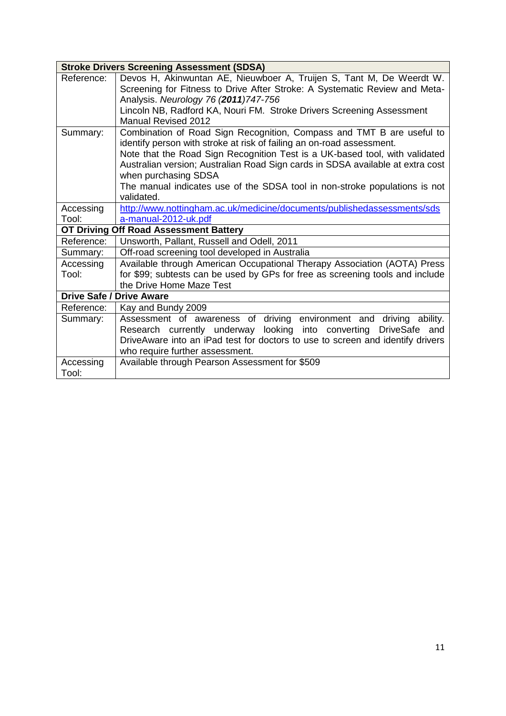| <b>Stroke Drivers Screening Assessment (SDSA)</b> |                                                                                                                                                                                                                                                                                                                                                                                                                                     |
|---------------------------------------------------|-------------------------------------------------------------------------------------------------------------------------------------------------------------------------------------------------------------------------------------------------------------------------------------------------------------------------------------------------------------------------------------------------------------------------------------|
| Reference:                                        | Devos H, Akinwuntan AE, Nieuwboer A, Truijen S, Tant M, De Weerdt W.<br>Screening for Fitness to Drive After Stroke: A Systematic Review and Meta-<br>Analysis. Neurology 76 (2011) 747-756<br>Lincoln NB, Radford KA, Nouri FM. Stroke Drivers Screening Assessment                                                                                                                                                                |
|                                                   | <b>Manual Revised 2012</b>                                                                                                                                                                                                                                                                                                                                                                                                          |
| Summary:                                          | Combination of Road Sign Recognition, Compass and TMT B are useful to<br>identify person with stroke at risk of failing an on-road assessment.<br>Note that the Road Sign Recognition Test is a UK-based tool, with validated<br>Australian version; Australian Road Sign cards in SDSA available at extra cost<br>when purchasing SDSA<br>The manual indicates use of the SDSA tool in non-stroke populations is not<br>validated. |
| Accessing                                         | http://www.nottingham.ac.uk/medicine/documents/publishedassessments/sds                                                                                                                                                                                                                                                                                                                                                             |
| Tool:                                             | a-manual-2012-uk.pdf                                                                                                                                                                                                                                                                                                                                                                                                                |
| OT Driving Off Road Assessment Battery            |                                                                                                                                                                                                                                                                                                                                                                                                                                     |
| Reference:                                        | Unsworth, Pallant, Russell and Odell, 2011                                                                                                                                                                                                                                                                                                                                                                                          |
| Summary:                                          | Off-road screening tool developed in Australia                                                                                                                                                                                                                                                                                                                                                                                      |
| Accessing<br>Tool:                                | Available through American Occupational Therapy Association (AOTA) Press<br>for \$99; subtests can be used by GPs for free as screening tools and include<br>the Drive Home Maze Test                                                                                                                                                                                                                                               |
| <b>Drive Safe / Drive Aware</b>                   |                                                                                                                                                                                                                                                                                                                                                                                                                                     |
| Reference:                                        | Kay and Bundy 2009                                                                                                                                                                                                                                                                                                                                                                                                                  |
| Summary:                                          | Assessment of awareness of driving environment and<br>driving ability.<br>Research currently underway looking into converting<br>DriveSafe and<br>DriveAware into an iPad test for doctors to use to screen and identify drivers<br>who require further assessment.                                                                                                                                                                 |
| Accessing<br>Tool:                                | Available through Pearson Assessment for \$509                                                                                                                                                                                                                                                                                                                                                                                      |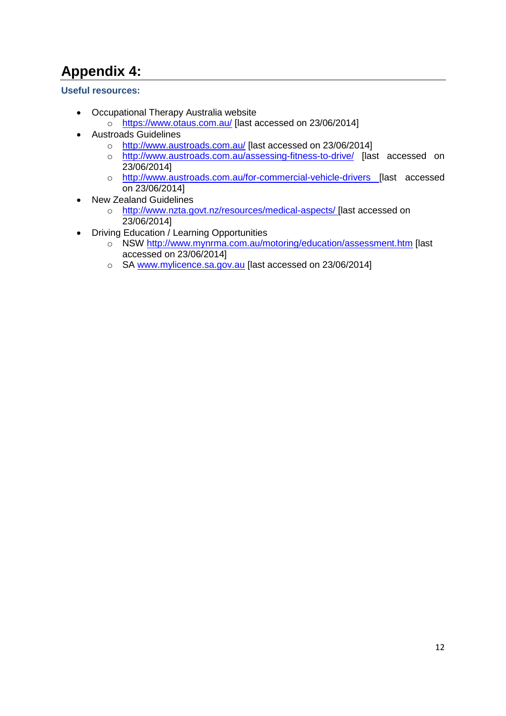# **Appendix 4:**

**Useful resources:**

- Occupational Therapy Australia website
	- o <https://www.otaus.com.au/> [last accessed on 23/06/2014]
- Austroads Guidelines
	- o <http://www.austroads.com.au/> [last accessed on 23/06/2014]
	- o <http://www.austroads.com.au/assessing-fitness-to-drive/> [last accessed on 23/06/2014]
	- o <http://www.austroads.com.au/for-commercial-vehicle-drivers> [last accessed on 23/06/2014]
- New Zealand Guidelines
	- o <http://www.nzta.govt.nz/resources/medical-aspects/> [last accessed on 23/06/2014]
- Driving Education / Learning Opportunities
	- o NSW<http://www.mynrma.com.au/motoring/education/assessment.htm> [last accessed on 23/06/2014]
	- o SA [www.mylicence.sa.gov.au](http://www.mylicence.sa.gov.au/) [last accessed on 23/06/2014]